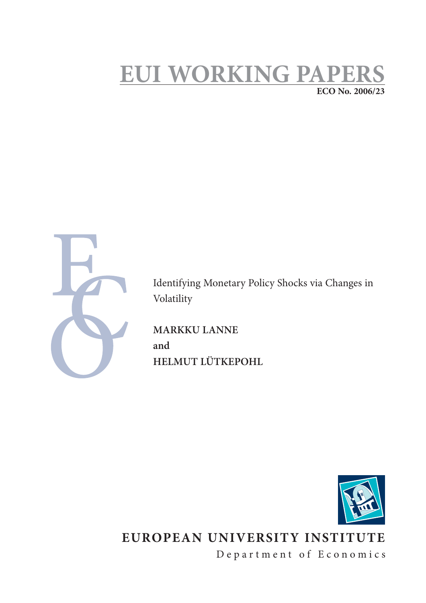# **EUI WORKING PAPE ECO No. 2006/23**



Identifying Monetary Policy Shocks via Changes in Volatility

**MARKKU LANNE and HELMUT LÜTKEPOHL**



**EUROPEAN UNIVERSITY INSTITUTE**

Department of Economics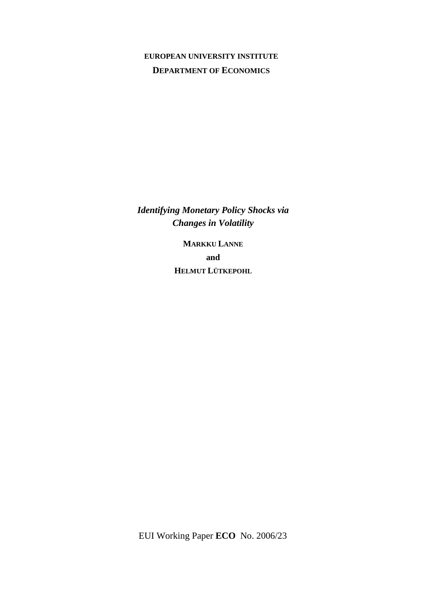## **EUROPEAN UNIVERSITY INSTITUTE DEPARTMENT OF ECONOMICS**

*Identifying Monetary Policy Shocks via Changes in Volatility* 

> **MARKKU LANNE and HELMUT LÜTKEPOHL**

EUI Working Paper **ECO** No. 2006/23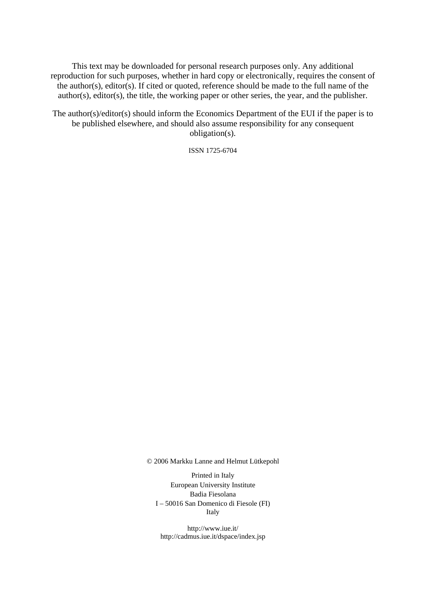This text may be downloaded for personal research purposes only. Any additional reproduction for such purposes, whether in hard copy or electronically, requires the consent of the author(s), editor(s). If cited or quoted, reference should be made to the full name of the author(s), editor(s), the title, the working paper or other series, the year, and the publisher.

The author(s)/editor(s) should inform the Economics Department of the EUI if the paper is to be published elsewhere, and should also assume responsibility for any consequent obligation(s).

ISSN 1725-6704

© 2006 Markku Lanne and Helmut Lütkepohl

Printed in Italy European University Institute Badia Fiesolana I – 50016 San Domenico di Fiesole (FI) Italy

http://www.iue.it/ http://cadmus.iue.it/dspace/index.jsp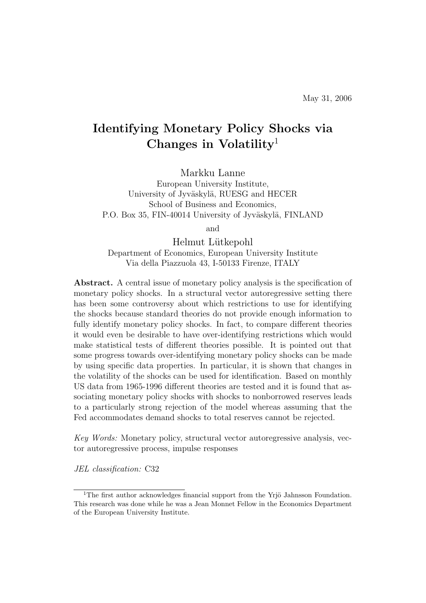## Identifying Monetary Policy Shocks via Changes in Volatility<sup>1</sup>

Markku Lanne

European University Institute, University of Jyväskylä, RUESG and HECER School of Business and Economics, P.O. Box 35, FIN-40014 University of Jyväskylä, FINLAND

and

Helmut Lütkepohl Department of Economics, European University Institute Via della Piazzuola 43, I-50133 Firenze, ITALY

Abstract. A central issue of monetary policy analysis is the specification of monetary policy shocks. In a structural vector autoregressive setting there has been some controversy about which restrictions to use for identifying the shocks because standard theories do not provide enough information to fully identify monetary policy shocks. In fact, to compare different theories it would even be desirable to have over-identifying restrictions which would make statistical tests of different theories possible. It is pointed out that some progress towards over-identifying monetary policy shocks can be made by using specific data properties. In particular, it is shown that changes in the volatility of the shocks can be used for identification. Based on monthly US data from 1965-1996 different theories are tested and it is found that associating monetary policy shocks with shocks to nonborrowed reserves leads to a particularly strong rejection of the model whereas assuming that the Fed accommodates demand shocks to total reserves cannot be rejected.

Key Words: Monetary policy, structural vector autoregressive analysis, vector autoregressive process, impulse responses

JEL classification: C32

 $1$ The first author acknowledges financial support from the Yrjö Jahnsson Foundation. This research was done while he was a Jean Monnet Fellow in the Economics Department of the European University Institute.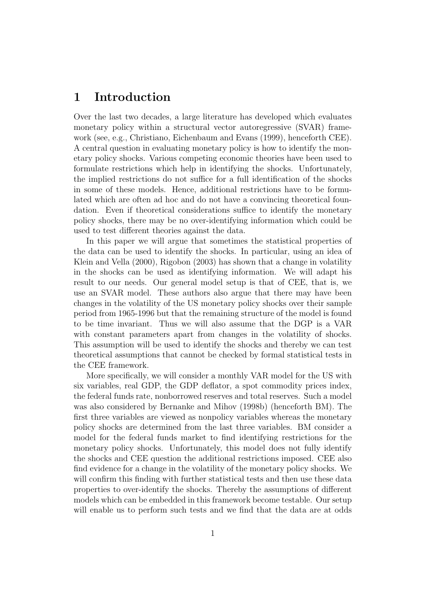## 1 Introduction

Over the last two decades, a large literature has developed which evaluates monetary policy within a structural vector autoregressive (SVAR) framework (see, e.g., Christiano, Eichenbaum and Evans (1999), henceforth CEE). A central question in evaluating monetary policy is how to identify the monetary policy shocks. Various competing economic theories have been used to formulate restrictions which help in identifying the shocks. Unfortunately, the implied restrictions do not suffice for a full identification of the shocks in some of these models. Hence, additional restrictions have to be formulated which are often ad hoc and do not have a convincing theoretical foundation. Even if theoretical considerations suffice to identify the monetary policy shocks, there may be no over-identifying information which could be used to test different theories against the data.

In this paper we will argue that sometimes the statistical properties of the data can be used to identify the shocks. In particular, using an idea of Klein and Vella (2000), Rigobon (2003) has shown that a change in volatility in the shocks can be used as identifying information. We will adapt his result to our needs. Our general model setup is that of CEE, that is, we use an SVAR model. These authors also argue that there may have been changes in the volatility of the US monetary policy shocks over their sample period from 1965-1996 but that the remaining structure of the model is found to be time invariant. Thus we will also assume that the DGP is a VAR with constant parameters apart from changes in the volatility of shocks. This assumption will be used to identify the shocks and thereby we can test theoretical assumptions that cannot be checked by formal statistical tests in the CEE framework.

More specifically, we will consider a monthly VAR model for the US with six variables, real GDP, the GDP deflator, a spot commodity prices index, the federal funds rate, nonborrowed reserves and total reserves. Such a model was also considered by Bernanke and Mihov (1998b) (henceforth BM). The first three variables are viewed as nonpolicy variables whereas the monetary policy shocks are determined from the last three variables. BM consider a model for the federal funds market to find identifying restrictions for the monetary policy shocks. Unfortunately, this model does not fully identify the shocks and CEE question the additional restrictions imposed. CEE also find evidence for a change in the volatility of the monetary policy shocks. We will confirm this finding with further statistical tests and then use these data properties to over-identify the shocks. Thereby the assumptions of different models which can be embedded in this framework become testable. Our setup will enable us to perform such tests and we find that the data are at odds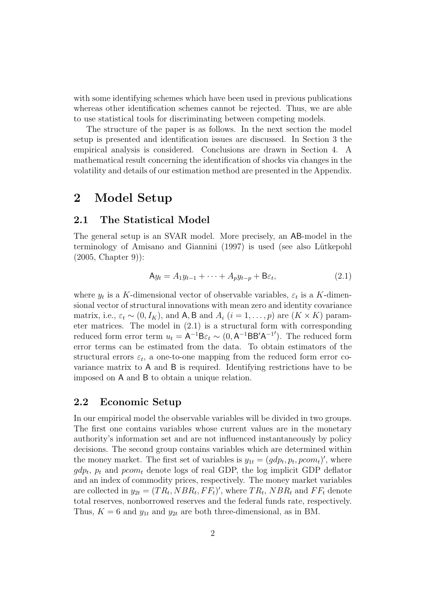with some identifying schemes which have been used in previous publications whereas other identification schemes cannot be rejected. Thus, we are able to use statistical tools for discriminating between competing models.

The structure of the paper is as follows. In the next section the model setup is presented and identification issues are discussed. In Section 3 the empirical analysis is considered. Conclusions are drawn in Section 4. A mathematical result concerning the identification of shocks via changes in the volatility and details of our estimation method are presented in the Appendix.

## 2 Model Setup

#### 2.1 The Statistical Model

The general setup is an SVAR model. More precisely, an AB-model in the terminology of Amisano and Giannini (1997) is used (see also L¨utkepohl (2005, Chapter 9)):

$$
\mathsf{A}y_t = A_1 y_{t-1} + \dots + A_p y_{t-p} + \mathsf{B}\varepsilon_t,\tag{2.1}
$$

where  $y_t$  is a K-dimensional vector of observable variables,  $\varepsilon_t$  is a K-dimensional vector of structural innovations with mean zero and identity covariance matrix, i.e.,  $\varepsilon_t \sim (0, I_K)$ , and A, B and  $A_i$   $(i = 1, \ldots, p)$  are  $(K \times K)$  parameter matrices. The model in (2.1) is a structural form with corresponding reduced form error term  $u_t = A^{-1}B\varepsilon_t \sim (0, A^{-1}BB'A^{-1})$ . The reduced form error terms can be estimated from the data. To obtain estimators of the structural errors  $\varepsilon_t$ , a one-to-one mapping from the reduced form error covariance matrix to A and B is required. Identifying restrictions have to be imposed on A and B to obtain a unique relation.

#### 2.2 Economic Setup

In our empirical model the observable variables will be divided in two groups. The first one contains variables whose current values are in the monetary authority's information set and are not influenced instantaneously by policy decisions. The second group contains variables which are determined within the money market. The first set of variables is  $y_{1t} = (gdp_t, p_t, pcom_t)'$ , where  $gdp_t$ ,  $p_t$  and  $pcom_t$  denote logs of real GDP, the log implicit GDP deflator and an index of commodity prices, respectively. The money market variables are collected in  $y_{2t} = (TR_t, NBR_t, FF_t)'$ , where  $TR_t, NBR_t$  and  $FF_t$  denote total reserves, nonborrowed reserves and the federal funds rate, respectively. Thus,  $K = 6$  and  $y_{1t}$  and  $y_{2t}$  are both three-dimensional, as in BM.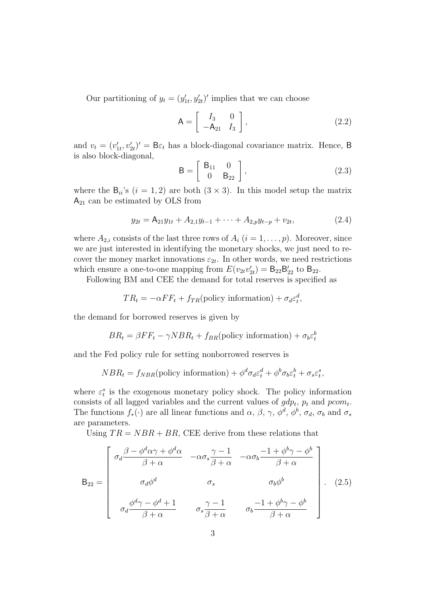Our partitioning of  $y_t = (y'_{1t}, y'_{2t})'$  implies that we can choose

$$
\mathsf{A} = \left[ \begin{array}{cc} I_3 & 0 \\ -\mathsf{A}_{21} & I_3 \end{array} \right],\tag{2.2}
$$

and  $v_t = (v'_{1t}, v'_{2t})' = \mathsf{B}\varepsilon_t$  has a block-diagonal covariance matrix. Hence, B is also block-diagonal, ·

$$
\mathsf{B} = \left[ \begin{array}{cc} \mathsf{B}_{11} & 0 \\ 0 & \mathsf{B}_{22} \end{array} \right],\tag{2.3}
$$

where the  $B_{ii}$ 's  $(i = 1, 2)$  are both  $(3 \times 3)$ . In this model setup the matrix  $A_{21}$  can be estimated by OLS from

$$
y_{2t} = A_{21}y_{1t} + A_{2,1}y_{t-1} + \dots + A_{2,p}y_{t-p} + v_{2t},
$$
\n(2.4)

where  $A_{2,i}$  consists of the last three rows of  $A_i$   $(i = 1, \ldots, p)$ . Moreover, since we are just interested in identifying the monetary shocks, we just need to recover the money market innovations  $\varepsilon_{2t}$ . In other words, we need restrictions which ensure a one-to-one mapping from  $E(v_{2t}v'_{2t}) = B_{22}B'_{22}$  to  $B_{22}$ .

Following BM and CEE the demand for total reserves is specified as

$$
TR_t = -\alpha FF_t + f_{TR}(\text{policy information}) + \sigma_d \varepsilon_t^d,
$$

the demand for borrowed reserves is given by

$$
BR_t = \beta FF_t - \gamma NBR_t + f_{BR}(\text{policy information}) + \sigma_b \varepsilon_t^b
$$

and the Fed policy rule for setting nonborrowed reserves is

$$
NBR_t = f_{NBR}(\text{policy information}) + \phi^d \sigma_d \varepsilon_t^d + \phi^b \sigma_b \varepsilon_t^b + \sigma_s \varepsilon_t^s,
$$

where  $\varepsilon_t^s$  is the exogenous monetary policy shock. The policy information consists of all lagged variables and the current values of  $gdp_t$ ,  $p_t$  and  $pcom_t$ . The functions  $f_*(\cdot)$  are all linear functions and  $\alpha$ ,  $\beta$ ,  $\gamma$ ,  $\phi^d$ ,  $\phi^b$ ,  $\sigma_d$ ,  $\sigma_b$  and  $\sigma_s$ are parameters.

Using  $TR = NBR + BR$ , CEE derive from these relations that

$$
\mathsf{B}_{22} = \begin{bmatrix} \sigma_d \frac{\beta - \phi^d \alpha \gamma + \phi^d \alpha}{\beta + \alpha} & -\alpha \sigma_s \frac{\gamma - 1}{\beta + \alpha} & -\alpha \sigma_b \frac{-1 + \phi^b \gamma - \phi^b}{\beta + \alpha} \\ \sigma_d \phi^d & \sigma_s & \sigma_b \phi^b \\ \sigma_d \frac{\phi^d \gamma - \phi^d + 1}{\beta + \alpha} & \sigma_s \frac{\gamma - 1}{\beta + \alpha} & \sigma_b \frac{-1 + \phi^b \gamma - \phi^b}{\beta + \alpha} \end{bmatrix} . \tag{2.5}
$$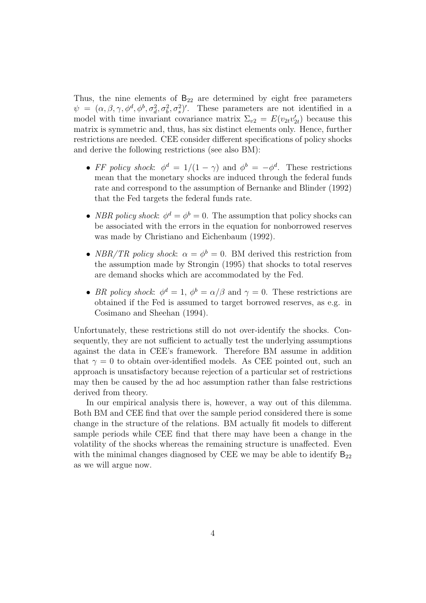Thus, the nine elements of  $B_{22}$  are determined by eight free parameters  $\psi = (\alpha, \beta, \gamma, \phi^d, \phi^b, \sigma_d^2, \sigma_b^2, \sigma_s^2)'$ . These parameters are not identified in a model with time invariant covariance matrix  $\Sigma_{v2} = E(v_{2t}v'_{2t})$  because this matrix is symmetric and, thus, has six distinct elements only. Hence, further restrictions are needed. CEE consider different specifications of policy shocks and derive the following restrictions (see also BM):

- FF policy shock:  $\phi^d = 1/(1 \gamma)$  and  $\phi^b = -\phi^d$ . These restrictions mean that the monetary shocks are induced through the federal funds rate and correspond to the assumption of Bernanke and Blinder (1992) that the Fed targets the federal funds rate.
- *NBR policy shock:*  $\phi^d = \phi^b = 0$ . The assumption that policy shocks can be associated with the errors in the equation for nonborrowed reserves was made by Christiano and Eichenbaum (1992).
- NBR/TR policy shock:  $\alpha = \phi^b = 0$ . BM derived this restriction from the assumption made by Strongin (1995) that shocks to total reserves are demand shocks which are accommodated by the Fed.
- BR policy shock:  $\phi^d = 1$ ,  $\phi^b = \alpha/\beta$  and  $\gamma = 0$ . These restrictions are obtained if the Fed is assumed to target borrowed reserves, as e.g. in Cosimano and Sheehan (1994).

Unfortunately, these restrictions still do not over-identify the shocks. Consequently, they are not sufficient to actually test the underlying assumptions against the data in CEE's framework. Therefore BM assume in addition that  $\gamma = 0$  to obtain over-identified models. As CEE pointed out, such an approach is unsatisfactory because rejection of a particular set of restrictions may then be caused by the ad hoc assumption rather than false restrictions derived from theory.

In our empirical analysis there is, however, a way out of this dilemma. Both BM and CEE find that over the sample period considered there is some change in the structure of the relations. BM actually fit models to different sample periods while CEE find that there may have been a change in the volatility of the shocks whereas the remaining structure is unaffected. Even with the minimal changes diagnosed by CEE we may be able to identify  $B_{22}$ as we will argue now.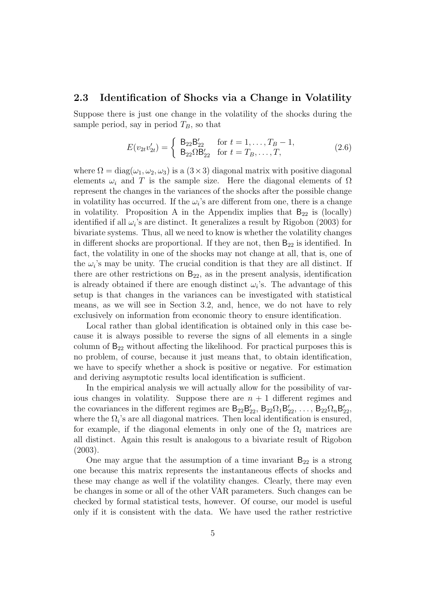#### 2.3 Identification of Shocks via a Change in Volatility

Suppose there is just one change in the volatility of the shocks during the sample period, say in period  $T_B$ , so that

$$
E(v_{2t}v'_{2t}) = \begin{cases} B_{22}B'_{22} & \text{for } t = 1, ..., T_B - 1, \\ B_{22}\Omega B'_{22} & \text{for } t = T_B, ..., T, \end{cases}
$$
 (2.6)

where  $\Omega = \text{diag}(\omega_1, \omega_2, \omega_3)$  is a  $(3 \times 3)$  diagonal matrix with positive diagonal elements  $\omega_i$  and T is the sample size. Here the diagonal elements of  $\Omega$ represent the changes in the variances of the shocks after the possible change in volatility has occurred. If the  $\omega_i$ 's are different from one, there is a change in volatility. Proposition A in the Appendix implies that  $B_{22}$  is (locally) identified if all  $\omega_i$ 's are distinct. It generalizes a result by Rigobon (2003) for bivariate systems. Thus, all we need to know is whether the volatility changes in different shocks are proportional. If they are not, then  $B_{22}$  is identified. In fact, the volatility in one of the shocks may not change at all, that is, one of the  $\omega_i$ 's may be unity. The crucial condition is that they are all distinct. If there are other restrictions on  $B_{22}$ , as in the present analysis, identification is already obtained if there are enough distinct  $\omega_i$ 's. The advantage of this setup is that changes in the variances can be investigated with statistical means, as we will see in Section 3.2, and, hence, we do not have to rely exclusively on information from economic theory to ensure identification.

Local rather than global identification is obtained only in this case because it is always possible to reverse the signs of all elements in a single column of  $B_{22}$  without affecting the likelihood. For practical purposes this is no problem, of course, because it just means that, to obtain identification, we have to specify whether a shock is positive or negative. For estimation and deriving asymptotic results local identification is sufficient.

In the empirical analysis we will actually allow for the possibility of various changes in volatility. Suppose there are  $n + 1$  different regimes and the covariances in the different regimes are  $B_{22}B'_{22}$ ,  $B_{22}\Omega_1B'_{22}$ , ...,  $B_{22}\Omega_nB'_{22}$ , where the  $\Omega_i$ 's are all diagonal matrices. Then local identification is ensured, for example, if the diagonal elements in only one of the  $\Omega_i$  matrices are all distinct. Again this result is analogous to a bivariate result of Rigobon (2003).

One may argue that the assumption of a time invariant  $B_{22}$  is a strong one because this matrix represents the instantaneous effects of shocks and these may change as well if the volatility changes. Clearly, there may even be changes in some or all of the other VAR parameters. Such changes can be checked by formal statistical tests, however. Of course, our model is useful only if it is consistent with the data. We have used the rather restrictive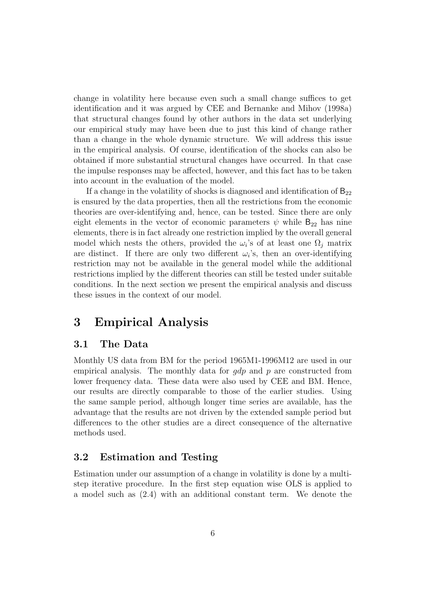change in volatility here because even such a small change suffices to get identification and it was argued by CEE and Bernanke and Mihov (1998a) that structural changes found by other authors in the data set underlying our empirical study may have been due to just this kind of change rather than a change in the whole dynamic structure. We will address this issue in the empirical analysis. Of course, identification of the shocks can also be obtained if more substantial structural changes have occurred. In that case the impulse responses may be affected, however, and this fact has to be taken into account in the evaluation of the model.

If a change in the volatility of shocks is diagnosed and identification of  $B_{22}$ is ensured by the data properties, then all the restrictions from the economic theories are over-identifying and, hence, can be tested. Since there are only eight elements in the vector of economic parameters  $\psi$  while  $B_{22}$  has nine elements, there is in fact already one restriction implied by the overall general model which nests the others, provided the  $\omega_i$ 's of at least one  $\Omega_j$  matrix are distinct. If there are only two different  $\omega_i$ 's, then an over-identifying restriction may not be available in the general model while the additional restrictions implied by the different theories can still be tested under suitable conditions. In the next section we present the empirical analysis and discuss these issues in the context of our model.

## 3 Empirical Analysis

#### 3.1 The Data

Monthly US data from BM for the period 1965M1-1996M12 are used in our empirical analysis. The monthly data for  $qdp$  and p are constructed from lower frequency data. These data were also used by CEE and BM. Hence, our results are directly comparable to those of the earlier studies. Using the same sample period, although longer time series are available, has the advantage that the results are not driven by the extended sample period but differences to the other studies are a direct consequence of the alternative methods used.

#### 3.2 Estimation and Testing

Estimation under our assumption of a change in volatility is done by a multistep iterative procedure. In the first step equation wise OLS is applied to a model such as (2.4) with an additional constant term. We denote the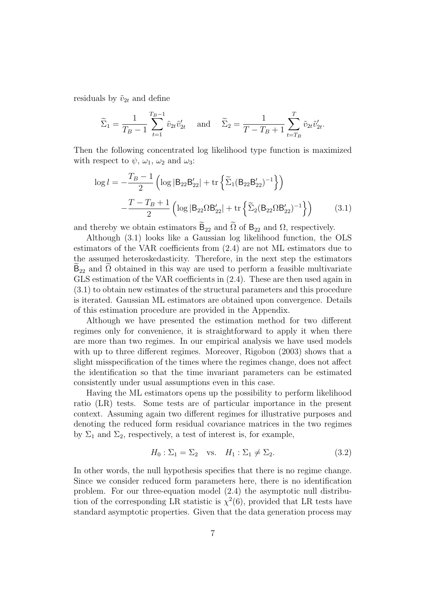residuals by  $\tilde{v}_{2t}$  and define

$$
\widetilde{\Sigma}_1 = \frac{1}{T_B - 1} \sum_{t=1}^{T_B - 1} \widetilde{v}_{2t} \widetilde{v}'_{2t} \quad \text{and} \quad \widetilde{\Sigma}_2 = \frac{1}{T - T_B + 1} \sum_{t=T_B}^{T} \widetilde{v}_{2t} \widetilde{v}'_{2t}.
$$

Then the following concentrated log likelihood type function is maximized with respect to  $\psi$ ,  $\omega_1$ ,  $\omega_2$  and  $\omega_3$ :

$$
\log l = -\frac{T_B - 1}{2} \left( \log |\mathsf{B}_{22} \mathsf{B}_{22}'| + \text{tr} \left\{ \widetilde{\Sigma}_1 (\mathsf{B}_{22} \mathsf{B}_{22}')^{-1} \right\} \right) -\frac{T - T_B + 1}{2} \left( \log |\mathsf{B}_{22} \Omega \mathsf{B}_{22}'| + \text{tr} \left\{ \widetilde{\Sigma}_2 (\mathsf{B}_{22} \Omega \mathsf{B}_{22}')^{-1} \right\} \right)
$$
(3.1)

and thereby we obtain estimators  $B_{22}$  and  $\Omega$  of  $B_{22}$  and  $\Omega$ , respectively.

Although (3.1) looks like a Gaussian log likelihood function, the OLS estimators of the VAR coefficients from (2.4) are not ML estimators due to the assumed heteroskedasticity. Therefore, in the next step the estimators  $B_{22}$  and  $\Omega$  obtained in this way are used to perform a feasible multivariate GLS estimation of the VAR coefficients in (2.4). These are then used again in (3.1) to obtain new estimates of the structural parameters and this procedure is iterated. Gaussian ML estimators are obtained upon convergence. Details of this estimation procedure are provided in the Appendix.

Although we have presented the estimation method for two different regimes only for convenience, it is straightforward to apply it when there are more than two regimes. In our empirical analysis we have used models with up to three different regimes. Moreover, Rigobon (2003) shows that a slight misspecification of the times where the regimes change, does not affect the identification so that the time invariant parameters can be estimated consistently under usual assumptions even in this case.

Having the ML estimators opens up the possibility to perform likelihood ratio (LR) tests. Some tests are of particular importance in the present context. Assuming again two different regimes for illustrative purposes and denoting the reduced form residual covariance matrices in the two regimes by  $\Sigma_1$  and  $\Sigma_2$ , respectively, a test of interest is, for example,

$$
H_0: \Sigma_1 = \Sigma_2 \quad \text{vs.} \quad H_1: \Sigma_1 \neq \Sigma_2. \tag{3.2}
$$

In other words, the null hypothesis specifies that there is no regime change. Since we consider reduced form parameters here, there is no identification problem. For our three-equation model (2.4) the asymptotic null distribution of the corresponding LR statistic is  $\chi^2(6)$ , provided that LR tests have standard asymptotic properties. Given that the data generation process may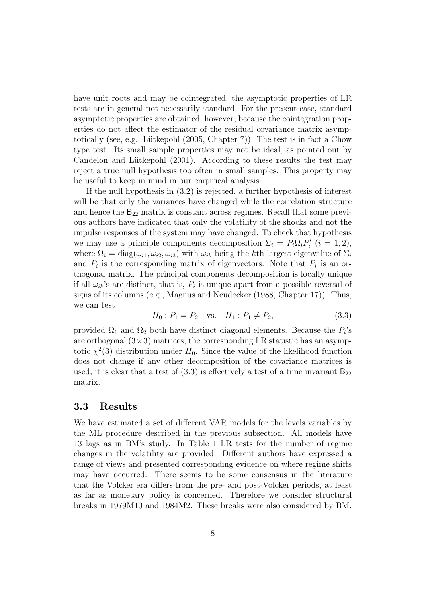have unit roots and may be cointegrated, the asymptotic properties of LR tests are in general not necessarily standard. For the present case, standard asymptotic properties are obtained, however, because the cointegration properties do not affect the estimator of the residual covariance matrix asymptotically (see, e.g., Lütkepohl  $(2005, Chapter 7)$ ). The test is in fact a Chow type test. Its small sample properties may not be ideal, as pointed out by Candelon and Lütkepohl  $(2001)$ . According to these results the test may reject a true null hypothesis too often in small samples. This property may be useful to keep in mind in our empirical analysis.

If the null hypothesis in (3.2) is rejected, a further hypothesis of interest will be that only the variances have changed while the correlation structure and hence the  $B_{22}$  matrix is constant across regimes. Recall that some previous authors have indicated that only the volatility of the shocks and not the impulse responses of the system may have changed. To check that hypothesis we may use a principle components decomposition  $\Sigma_i = P_i \Omega_i P'_i$   $(i = 1, 2)$ , where  $\Omega_i = \text{diag}(\omega_{i1}, \omega_{i2}, \omega_{i3})$  with  $\omega_{ik}$  being the kth largest eigenvalue of  $\Sigma_i$ and  $P_i$  is the corresponding matrix of eigenvectors. Note that  $P_i$  is an orthogonal matrix. The principal components decomposition is locally unique if all  $\omega_{ik}$ 's are distinct, that is,  $P_i$  is unique apart from a possible reversal of signs of its columns (e.g., Magnus and Neudecker (1988, Chapter 17)). Thus, we can test

$$
H_0: P_1 = P_2 \quad \text{vs.} \quad H_1: P_1 \neq P_2,\tag{3.3}
$$

provided  $\Omega_1$  and  $\Omega_2$  both have distinct diagonal elements. Because the  $P_i$ 's are orthogonal  $(3\times3)$  matrices, the corresponding LR statistic has an asymptotic  $\chi^2(3)$  distribution under  $H_0$ . Since the value of the likelihood function does not change if any other decomposition of the covariance matrices is used, it is clear that a test of  $(3.3)$  is effectively a test of a time invariant  $B_{22}$ matrix.

#### 3.3 Results

We have estimated a set of different VAR models for the levels variables by the ML procedure described in the previous subsection. All models have 13 lags as in BM's study. In Table 1 LR tests for the number of regime changes in the volatility are provided. Different authors have expressed a range of views and presented corresponding evidence on where regime shifts may have occurred. There seems to be some consensus in the literature that the Volcker era differs from the pre- and post-Volcker periods, at least as far as monetary policy is concerned. Therefore we consider structural breaks in 1979M10 and 1984M2. These breaks were also considered by BM.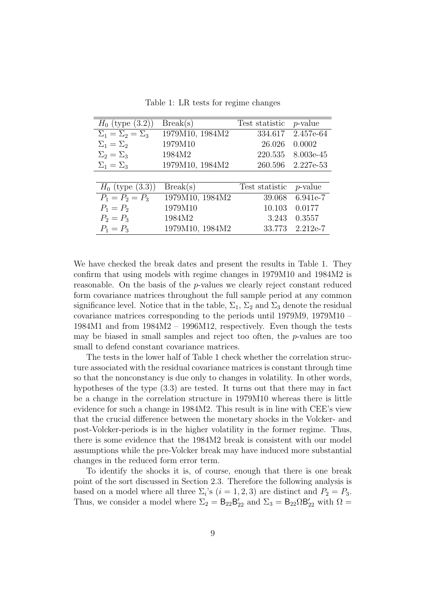| $H_0$ (type $(3.2)$ )            | Break(s)        | Test statistic | $p$ -value |
|----------------------------------|-----------------|----------------|------------|
| $\Sigma_1 = \Sigma_2 = \Sigma_3$ | 1979M10, 1984M2 | 334.617        | 2.457e-64  |
| $\Sigma_1=\Sigma_2$              | 1979M10         | 26.026         | 0.0002     |
| $\Sigma_2=\Sigma_3$              | 1984M2          | 220.535        | 8.003e-45  |
| $\Sigma_1 = \Sigma_3$            | 1979M10, 1984M2 | 260.596        | 2.227e-53  |
|                                  |                 |                |            |
| $H_0$ (type $(3.3)$ )            | Break(s)        | Test statistic | $p$ -value |
| $P_1 = P_2 = P_3$                | 1979M10, 1984M2 | 39.068         | 6.941e-7   |
| $P_1 = P_2$                      | 1979M10         | 10.103         | 0.0177     |
| $P_2 = P_3$                      | 1984M2          | 3.243          | 0.3557     |
| $P_1 = P_3$                      | 1979M10, 1984M2 | 33.773         | $2.212e-7$ |

Table 1: LR tests for regime changes

We have checked the break dates and present the results in Table 1. They confirm that using models with regime changes in 1979M10 and 1984M2 is reasonable. On the basis of the p-values we clearly reject constant reduced form covariance matrices throughout the full sample period at any common significance level. Notice that in the table,  $\Sigma_1$ ,  $\Sigma_2$  and  $\Sigma_3$  denote the residual covariance matrices corresponding to the periods until 1979M9, 1979M10 – 1984M1 and from 1984M2 – 1996M12, respectively. Even though the tests may be biased in small samples and reject too often, the p-values are too small to defend constant covariance matrices.

The tests in the lower half of Table 1 check whether the correlation structure associated with the residual covariance matrices is constant through time so that the nonconstancy is due only to changes in volatility. In other words, hypotheses of the type (3.3) are tested. It turns out that there may in fact be a change in the correlation structure in 1979M10 whereas there is little evidence for such a change in 1984M2. This result is in line with CEE's view that the crucial difference between the monetary shocks in the Volcker- and post-Volcker-periods is in the higher volatility in the former regime. Thus, there is some evidence that the 1984M2 break is consistent with our model assumptions while the pre-Volcker break may have induced more substantial changes in the reduced form error term.

To identify the shocks it is, of course, enough that there is one break point of the sort discussed in Section 2.3. Therefore the following analysis is based on a model where all three  $\Sigma_i$ 's  $(i = 1, 2, 3)$  are distinct and  $P_2 = P_3$ . Thus, we consider a model where  $\Sigma_2 = \mathsf{B}_{22}\mathsf{B}_{22}'$  and  $\Sigma_3 = \mathsf{B}_{22}\Omega\mathsf{B}_{22}'$  with  $\Omega =$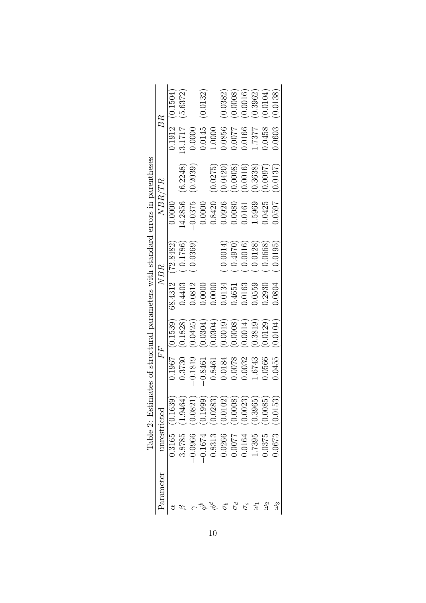|                                                                                 | BR.             | (0.1504)           | (5.6372) |           | (0.0132)  |          | (0.0382)                                                  | (0.0008) | (0.0016) | (0.3962)       | (0.0104)      | 0.0138) |
|---------------------------------------------------------------------------------|-----------------|--------------------|----------|-----------|-----------|----------|-----------------------------------------------------------|----------|----------|----------------|---------------|---------|
| Table 2: Estimates of structural parameters with standard errors in parentheses |                 | 0.1912             | 13.1717  | 0.0000    | 0.0145    | 1.0000   | 0.0856                                                    | 10077    | 0.0166   | 1.7377         | 0.0458        | 0.6603  |
|                                                                                 | NBR/TR          |                    | (6.2248) | (0.2039)  |           | (0.0275) | (0.0420)                                                  | (0.0008) | (0.0016) | (0.3638)       | 0.0097        | 0.0137) |
|                                                                                 |                 | $\frac{0.0000}{0}$ | 14.2856  | $-0.0375$ | 0.0000    | 0.8420   | 0.0926                                                    | 0.0080   | 0.0161   | 1.5969         | 0.0425        | 0.0597  |
|                                                                                 | <b>NBR</b>      | (72.8482)          | 0.1786   | 0.0369)   |           |          | 0.0014                                                    | 0.4970)  | 0.0016)  | 0.0128)        | 0.0668        | 0.0195  |
|                                                                                 |                 | 68.4312            | 0.4403   | 0.0812    | 0.0000    | 0.0000   | 0.0134                                                    | 0.4651   | 0.163    | 0559           | 0.2930        | 1.0804  |
|                                                                                 | $\overline{FF}$ | (0.1539)           | (0.1828) | 0.0425    | (0.0304)  | (0.0304) | (0.0019)                                                  | (0.0008) | (0.0014) | 0.3819         | (0.0129)      | 0.0104  |
|                                                                                 |                 | 0.1967             | 0.3730   | $-0.1819$ | $-0.8461$ | 0.8461   | 0.0184                                                    | 0.0078   | 0.0032   | 1.6743         | 0.0566        | 0.0455  |
|                                                                                 | unrestricted    | (0.1639)           | (1.9464) | 0.0821    | (0.199)   |          | $(0.028$<br>$(0.010)$                                     | (0.000)  | 0.0023   | (0.396         | (0.008        | 0.0153  |
|                                                                                 |                 | 0.3165             | 3.8785   | $-0.0966$ | $-0.1674$ | 0.8313   | $\begin{array}{c} 0.0266 \\ 0.0077 \\ 0.0164 \end{array}$ |          |          | 1.7395         | 0.0375        | 0.0673  |
|                                                                                 | arameter        |                    |          |           |           |          |                                                           |          |          | $\mathfrak{Z}$ | $\mathcal{S}$ |         |

| このことがある ていきく せんしょう しゅうしょう こうしょう こうしょう こうしゅう しょうしゅうしょう しょうしょう しょくしょう<br>-<br>3<br>5<br>5<br>5 |
|----------------------------------------------------------------------------------------------|
|                                                                                              |
| Contractor<br>l                                                                              |
| $\frac{1}{2}$<br>ĺ                                                                           |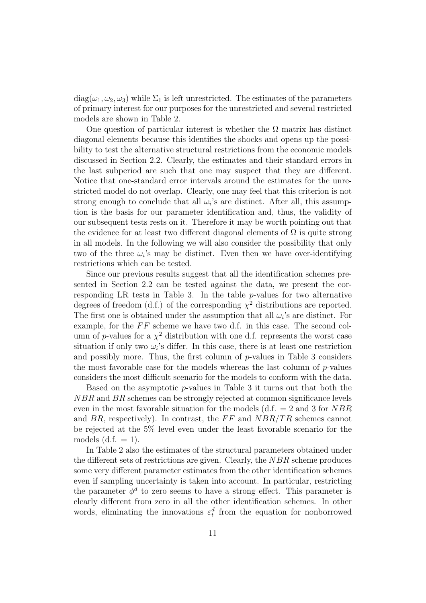$diag(\omega_1, \omega_2, \omega_3)$  while  $\Sigma_1$  is left unrestricted. The estimates of the parameters of primary interest for our purposes for the unrestricted and several restricted models are shown in Table 2.

One question of particular interest is whether the  $\Omega$  matrix has distinct diagonal elements because this identifies the shocks and opens up the possibility to test the alternative structural restrictions from the economic models discussed in Section 2.2. Clearly, the estimates and their standard errors in the last subperiod are such that one may suspect that they are different. Notice that one-standard error intervals around the estimates for the unrestricted model do not overlap. Clearly, one may feel that this criterion is not strong enough to conclude that all  $\omega_i$ 's are distinct. After all, this assumption is the basis for our parameter identification and, thus, the validity of our subsequent tests rests on it. Therefore it may be worth pointing out that the evidence for at least two different diagonal elements of  $\Omega$  is quite strong in all models. In the following we will also consider the possibility that only two of the three  $\omega_i$ 's may be distinct. Even then we have over-identifying restrictions which can be tested.

Since our previous results suggest that all the identification schemes presented in Section 2.2 can be tested against the data, we present the corresponding LR tests in Table 3. In the table  $p$ -values for two alternative degrees of freedom (d.f.) of the corresponding  $\chi^2$  distributions are reported. The first one is obtained under the assumption that all  $\omega_i$ 's are distinct. For example, for the  $FF$  scheme we have two d.f. in this case. The second column of p-values for a  $\chi^2$  distribution with one d.f. represents the worst case situation if only two  $\omega_i$ 's differ. In this case, there is at least one restriction and possibly more. Thus, the first column of p-values in Table 3 considers the most favorable case for the models whereas the last column of  $p$ -values considers the most difficult scenario for the models to conform with the data.

Based on the asymptotic  $p$ -values in Table 3 it turns out that both the NBR and BR schemes can be strongly rejected at common significance levels even in the most favorable situation for the models  $(d.f. = 2$  and 3 for NBR and BR, respectively). In contrast, the  $FF$  and  $NBR/TR$  schemes cannot be rejected at the 5% level even under the least favorable scenario for the models (d.f.  $= 1$ ).

In Table 2 also the estimates of the structural parameters obtained under the different sets of restrictions are given. Clearly, the  $NBR$  scheme produces some very different parameter estimates from the other identification schemes even if sampling uncertainty is taken into account. In particular, restricting the parameter  $\phi^d$  to zero seems to have a strong effect. This parameter is clearly different from zero in all the other identification schemes. In other words, eliminating the innovations  $\varepsilon_t^d$  from the equation for nonborrowed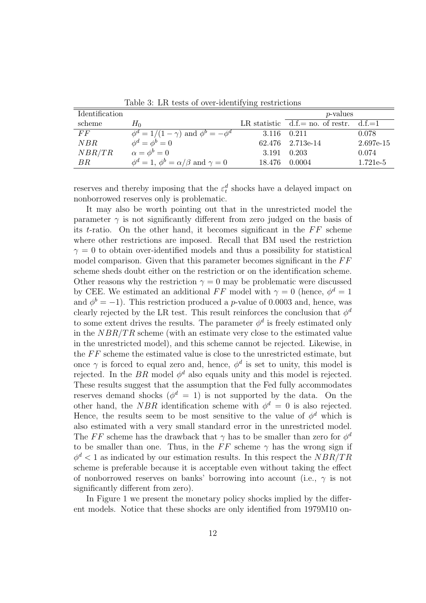| <b>Identification</b> |                                                                |             | <i>p</i> -values                            |           |  |
|-----------------------|----------------------------------------------------------------|-------------|---------------------------------------------|-----------|--|
| scheme                | $H_0$                                                          |             | LR statistic $d.f = no$ of restr. $d.f = 1$ |           |  |
| FF                    | $\phi^d = 1/(1 - \gamma)$ and $\phi^b = -\phi^d$               | 3.116 0.211 |                                             | 0.078     |  |
| NBR.                  | $\phi^d = \phi^b = 0$                                          |             | 62.476 2.713e-14                            | 2.697e-15 |  |
| NBR/TR                | $\alpha = \phi^b = 0$                                          |             | 3.191 0.203                                 | 0.074     |  |
| ΒR                    | $\phi^d = 1, \, \phi^b = \alpha/\beta \text{ and } \gamma = 0$ |             | 18.476 0.0004                               | 1.721e-5  |  |

Table 3: LR tests of over-identifying restrictions

reserves and thereby imposing that the  $\varepsilon_t^d$  shocks have a delayed impact on nonborrowed reserves only is problematic.

It may also be worth pointing out that in the unrestricted model the parameter  $\gamma$  is not significantly different from zero judged on the basis of its  $t$ -ratio. On the other hand, it becomes significant in the  $FF$  scheme where other restrictions are imposed. Recall that BM used the restriction  $\gamma = 0$  to obtain over-identified models and thus a possibility for statistical model comparison. Given that this parameter becomes significant in the  $FF$ scheme sheds doubt either on the restriction or on the identification scheme. Other reasons why the restriction  $\gamma = 0$  may be problematic were discussed by CEE. We estimated an additional FF model with  $\gamma = 0$  (hence,  $\phi^d = 1$ ) and  $\phi^b = -1$ ). This restriction produced a *p*-value of 0.0003 and, hence, was clearly rejected by the LR test. This result reinforces the conclusion that  $\phi^d$ to some extent drives the results. The parameter  $\phi^d$  is freely estimated only in the  $NBR/TR$  scheme (with an estimate very close to the estimated value in the unrestricted model), and this scheme cannot be rejected. Likewise, in the  $FF$  scheme the estimated value is close to the unrestricted estimate, but once  $\gamma$  is forced to equal zero and, hence,  $\phi^d$  is set to unity, this model is rejected. In the BR model  $\phi^d$  also equals unity and this model is rejected. These results suggest that the assumption that the Fed fully accommodates reserves demand shocks ( $\phi^d = 1$ ) is not supported by the data. On the other hand, the NBR identification scheme with  $\phi^d = 0$  is also rejected. Hence, the results seem to be most sensitive to the value of  $\phi^d$  which is also estimated with a very small standard error in the unrestricted model. The FF scheme has the drawback that  $\gamma$  has to be smaller than zero for  $\phi^d$ to be smaller than one. Thus, in the FF scheme  $\gamma$  has the wrong sign if  $\phi^d$  < 1 as indicated by our estimation results. In this respect the  $NBR/TR$ scheme is preferable because it is acceptable even without taking the effect of nonborrowed reserves on banks' borrowing into account (i.e.,  $\gamma$  is not significantly different from zero).

In Figure 1 we present the monetary policy shocks implied by the different models. Notice that these shocks are only identified from 1979M10 on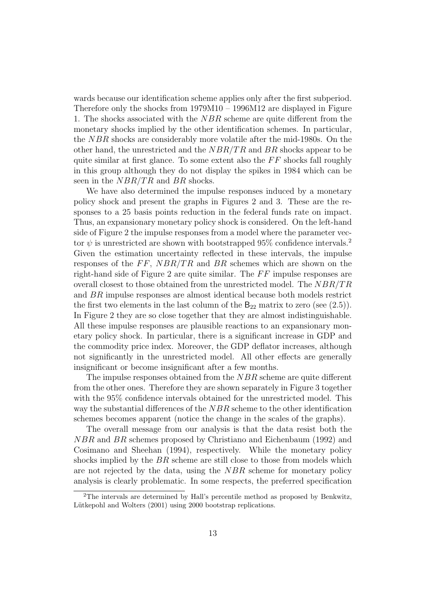wards because our identification scheme applies only after the first subperiod. Therefore only the shocks from 1979M10 – 1996M12 are displayed in Figure 1. The shocks associated with the NBR scheme are quite different from the monetary shocks implied by the other identification schemes. In particular, the NBR shocks are considerably more volatile after the mid-1980s. On the other hand, the unrestricted and the  $NBR/TR$  and  $BR$  shocks appear to be quite similar at first glance. To some extent also the  $FF$  shocks fall roughly in this group although they do not display the spikes in 1984 which can be seen in the  $NBR/TR$  and  $BR$  shocks.

We have also determined the impulse responses induced by a monetary policy shock and present the graphs in Figures 2 and 3. These are the responses to a 25 basis points reduction in the federal funds rate on impact. Thus, an expansionary monetary policy shock is considered. On the left-hand side of Figure 2 the impulse responses from a model where the parameter vector  $\psi$  is unrestricted are shown with bootstrapped 95% confidence intervals.<sup>2</sup> Given the estimation uncertainty reflected in these intervals, the impulse responses of the  $FF$ ,  $NBR/TR$  and  $BR$  schemes which are shown on the right-hand side of Figure 2 are quite similar. The  $FF$  impulse responses are overall closest to those obtained from the unrestricted model. The  $NBR/TR$ and BR impulse responses are almost identical because both models restrict the first two elements in the last column of the  $B_{22}$  matrix to zero (see  $(2.5)$ ). In Figure 2 they are so close together that they are almost indistinguishable. All these impulse responses are plausible reactions to an expansionary monetary policy shock. In particular, there is a significant increase in GDP and the commodity price index. Moreover, the GDP deflator increases, although not significantly in the unrestricted model. All other effects are generally insignificant or become insignificant after a few months.

The impulse responses obtained from the NBR scheme are quite different from the other ones. Therefore they are shown separately in Figure 3 together with the 95% confidence intervals obtained for the unrestricted model. This way the substantial differences of the NBR scheme to the other identification schemes becomes apparent (notice the change in the scales of the graphs).

The overall message from our analysis is that the data resist both the NBR and BR schemes proposed by Christiano and Eichenbaum (1992) and Cosimano and Sheehan (1994), respectively. While the monetary policy shocks implied by the  $BR$  scheme are still close to those from models which are not rejected by the data, using the NBR scheme for monetary policy analysis is clearly problematic. In some respects, the preferred specification

<sup>2</sup>The intervals are determined by Hall's percentile method as proposed by Benkwitz, Lütkepohl and Wolters (2001) using 2000 bootstrap replications.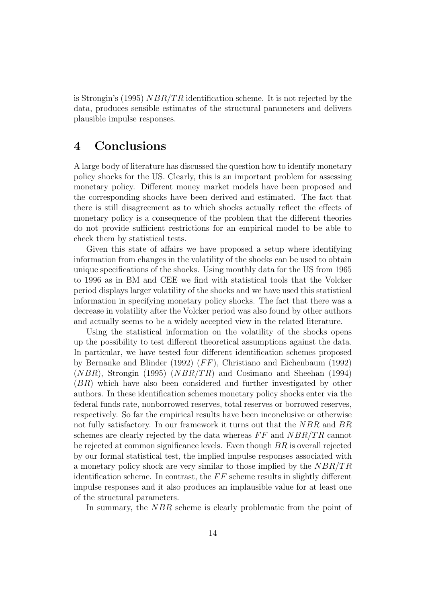is Strongin's (1995)  $NBR/TR$  identification scheme. It is not rejected by the data, produces sensible estimates of the structural parameters and delivers plausible impulse responses.

## 4 Conclusions

A large body of literature has discussed the question how to identify monetary policy shocks for the US. Clearly, this is an important problem for assessing monetary policy. Different money market models have been proposed and the corresponding shocks have been derived and estimated. The fact that there is still disagreement as to which shocks actually reflect the effects of monetary policy is a consequence of the problem that the different theories do not provide sufficient restrictions for an empirical model to be able to check them by statistical tests.

Given this state of affairs we have proposed a setup where identifying information from changes in the volatility of the shocks can be used to obtain unique specifications of the shocks. Using monthly data for the US from 1965 to 1996 as in BM and CEE we find with statistical tools that the Volcker period displays larger volatility of the shocks and we have used this statistical information in specifying monetary policy shocks. The fact that there was a decrease in volatility after the Volcker period was also found by other authors and actually seems to be a widely accepted view in the related literature.

Using the statistical information on the volatility of the shocks opens up the possibility to test different theoretical assumptions against the data. In particular, we have tested four different identification schemes proposed by Bernanke and Blinder (1992)  $(FF)$ , Christiano and Eichenbaum (1992)  $(NBR)$ , Strongin (1995)  $(NBR/TR)$  and Cosimano and Sheehan (1994) (BR) which have also been considered and further investigated by other authors. In these identification schemes monetary policy shocks enter via the federal funds rate, nonborrowed reserves, total reserves or borrowed reserves, respectively. So far the empirical results have been inconclusive or otherwise not fully satisfactory. In our framework it turns out that the NBR and BR schemes are clearly rejected by the data whereas  $FF$  and  $NBR/TR$  cannot be rejected at common significance levels. Even though  $BR$  is overall rejected by our formal statistical test, the implied impulse responses associated with a monetary policy shock are very similar to those implied by the  $NBR/TR$ identification scheme. In contrast, the  $FF$  scheme results in slightly different impulse responses and it also produces an implausible value for at least one of the structural parameters.

In summary, the *NBR* scheme is clearly problematic from the point of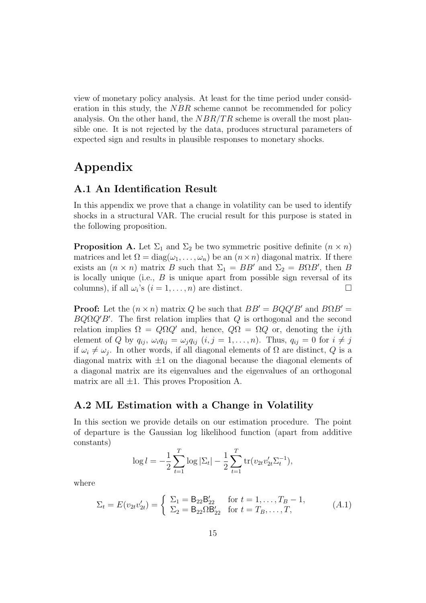view of monetary policy analysis. At least for the time period under consideration in this study, the NBR scheme cannot be recommended for policy analysis. On the other hand, the  $NBR/TR$  scheme is overall the most plausible one. It is not rejected by the data, produces structural parameters of expected sign and results in plausible responses to monetary shocks.

## Appendix

#### A.1 An Identification Result

In this appendix we prove that a change in volatility can be used to identify shocks in a structural VAR. The crucial result for this purpose is stated in the following proposition.

**Proposition A.** Let  $\Sigma_1$  and  $\Sigma_2$  be two symmetric positive definite  $(n \times n)$ matrices and let  $\Omega = \text{diag}(\omega_1, \ldots, \omega_n)$  be an  $(n \times n)$  diagonal matrix. If there exists an  $(n \times n)$  matrix B such that  $\Sigma_1 = BB'$  and  $\Sigma_2 = B\Omega B'$ , then B is locally unique (i.e.,  $B$  is unique apart from possible sign reversal of its columns), if all  $\omega_i$ 's  $(i = 1, ..., n)$  are distinct.

**Proof:** Let the  $(n \times n)$  matrix Q be such that  $BB' = BQQ'B'$  and  $B\Omega B' =$  $BQ\Omega Q'B'$ . The first relation implies that Q is orthogonal and the second relation implies  $\Omega = Q\Omega Q'$  and, hence,  $Q\Omega = \Omega Q$  or, denoting the *ij*th element of Q by  $q_{ij}$ ,  $\omega_i q_{ij} = \omega_j q_{ij}$   $(i, j = 1, \ldots, n)$ . Thus,  $q_{ij} = 0$  for  $i \neq j$ if  $\omega_i \neq \omega_j$ . In other words, if all diagonal elements of  $\Omega$  are distinct,  $Q$  is a diagonal matrix with  $\pm 1$  on the diagonal because the diagonal elements of a diagonal matrix are its eigenvalues and the eigenvalues of an orthogonal matrix are all  $\pm 1$ . This proves Proposition A.

#### A.2 ML Estimation with a Change in Volatility

In this section we provide details on our estimation procedure. The point of departure is the Gaussian log likelihood function (apart from additive constants)

$$
\log l = -\frac{1}{2} \sum_{t=1}^{T} \log |\Sigma_t| - \frac{1}{2} \sum_{t=1}^{T} \text{tr}(v_{2t} v_{2t}' \Sigma_t^{-1}),
$$

where

$$
\Sigma_t = E(v_{2t}v'_{2t}) = \begin{cases} \Sigma_1 = B_{22}B'_{22} & \text{for } t = 1, ..., T_B - 1, \\ \Sigma_2 = B_{22}\Omega B'_{22} & \text{for } t = T_B, ..., T, \end{cases}
$$
(A.1)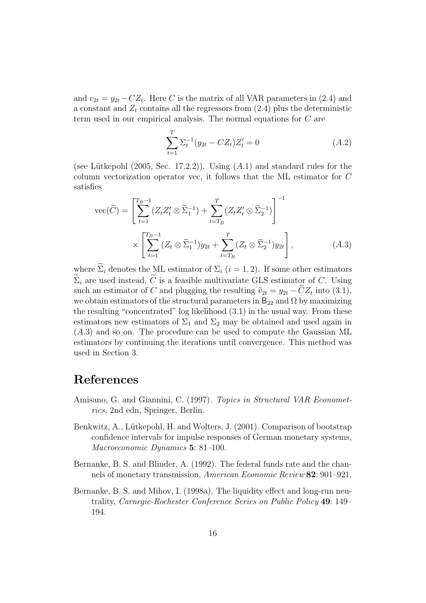and  $v_{2t} = y_{2t} - CZ_t$ . Here C is the matrix of all VAR parameters in (2.4) and a constant and  $Z_t$  contains all the regressors from  $(2.4)$  plus the deterministic term used in our empirical analysis. The normal equations for C are

$$
\sum_{t=1}^{T} \Sigma_t^{-1} (y_{2t} - CZ_t) Z_t' = 0
$$
\n(A.2)

(see Lütkepohl  $(2005, \text{Sec. } 17.2.2)$ ). Using  $(A.1)$  and standard rules for the column vectorization operator vec, it follows that the ML estimator for C satisfies

$$
\text{vec}(\widetilde{C}) = \left[ \sum_{t=1}^{T_B - 1} (Z_t Z_t' \otimes \widetilde{\Sigma}_1^{-1}) + \sum_{t=T_B}^{T} (Z_t Z_t' \otimes \widetilde{\Sigma}_2^{-1}) \right]^{-1} \times \left[ \sum_{t=1}^{T_B - 1} (Z_t \otimes \widetilde{\Sigma}_1^{-1}) y_{2t} + \sum_{t=T_B}^{T} (Z_t \otimes \widetilde{\Sigma}_2^{-1}) y_{2t} \right], \tag{A.3}
$$

where  $\widetilde{\Sigma}_i$  denotes the ML estimator of  $\Sigma_i$  (i = 1, 2). If some other estimators  $\widetilde{\Sigma}_i$  are used instead,  $\widetilde{C}$  is a feasible multivariate GLS estimator of C. Using such an estimator of C and plugging the resulting  $\tilde{v}_{2t} = y_{2t} - \tilde{C}Z_t$  into  $(3.1)$ , we obtain estimators of the structural parameters in  $B_{22}$  and  $\Omega$  by maximizing the resulting "concentrated" log likelihood (3.1) in the usual way. From these estimators new estimators of  $\Sigma_1$  and  $\Sigma_2$  may be obtained and used again in (A.3) and so on. The procedure can be used to compute the Gaussian ML estimators by continuing the iterations until convergence. This method was used in Section 3.

## References

- Amisano, G. and Giannini, C. (1997). *Topics in Structural VAR Economet*rics, 2nd edn, Springer, Berlin.
- Benkwitz, A., Lütkepohl, H. and Wolters, J. (2001). Comparison of bootstrap confidence intervals for impulse responses of German monetary systems, Macroeconomic Dynamics 5: 81–100.
- Bernanke, B. S. and Blinder, A. (1992). The federal funds rate and the channels of monetary transmission, American Economic Review 82: 901–921.
- Bernanke, B. S. and Mihov, I. (1998a). The liquidity effect and long-run neutrality, Carnegie-Rochester Conference Series on Public Policy 49: 149– 194.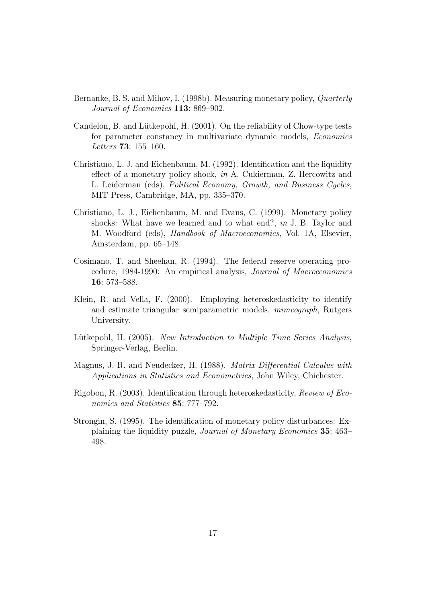- Bernanke, B. S. and Mihov, I. (1998b). Measuring monetary policy, Quarterly Journal of Economics 113: 869–902.
- Candelon, B. and Lütkepohl, H. (2001). On the reliability of Chow-type tests for parameter constancy in multivariate dynamic models, Economics Letters 73: 155–160.
- Christiano, L. J. and Eichenbaum, M. (1992). Identification and the liquidity effect of a monetary policy shock, in A. Cukierman, Z. Hercowitz and L. Leiderman (eds), Political Economy, Growth, and Business Cycles, MIT Press, Cambridge, MA, pp. 335–370.
- Christiano, L. J., Eichenbaum, M. and Evans, C. (1999). Monetary policy shocks: What have we learned and to what end?, in J. B. Taylor and M. Woodford (eds), Handbook of Macroeconomics, Vol. 1A, Elsevier, Amsterdam, pp. 65–148.
- Cosimano, T. and Sheehan, R. (1994). The federal reserve operating procedure, 1984-1990: An empirical analysis, Journal of Macroeconomics 16: 573–588.
- Klein, R. and Vella, F. (2000). Employing heteroskedasticity to identify and estimate triangular semiparametric models, mimeograph, Rutgers University.
- Lütkepohl, H.  $(2005)$ . New Introduction to Multiple Time Series Analysis, Springer-Verlag, Berlin.
- Magnus, J. R. and Neudecker, H. (1988). Matrix Differential Calculus with Applications in Statistics and Econometrics, John Wiley, Chichester.
- Rigobon, R. (2003). Identification through heteroskedasticity, Review of Economics and Statistics 85: 777–792.
- Strongin, S. (1995). The identification of monetary policy disturbances: Explaining the liquidity puzzle, Journal of Monetary Economics 35: 463– 498.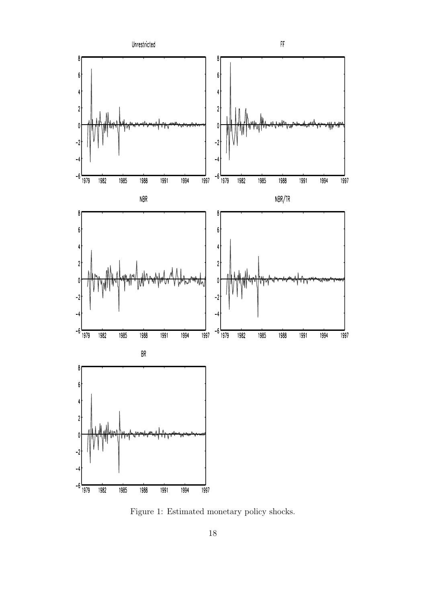

Figure 1: Estimated monetary policy shocks.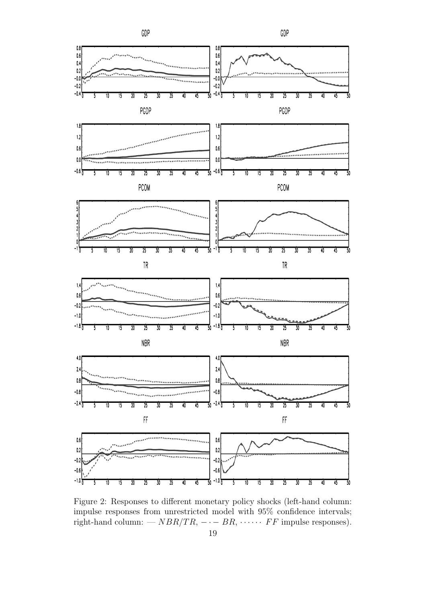

Figure 2: Responses to different monetary policy shocks (left-hand column: impulse responses from unrestricted model with 95% confidence intervals; right-hand column:  $-NBR/TR$ ,  $BR$ ,  $\cdots$   $\cdots$   $FF$  impulse responses).